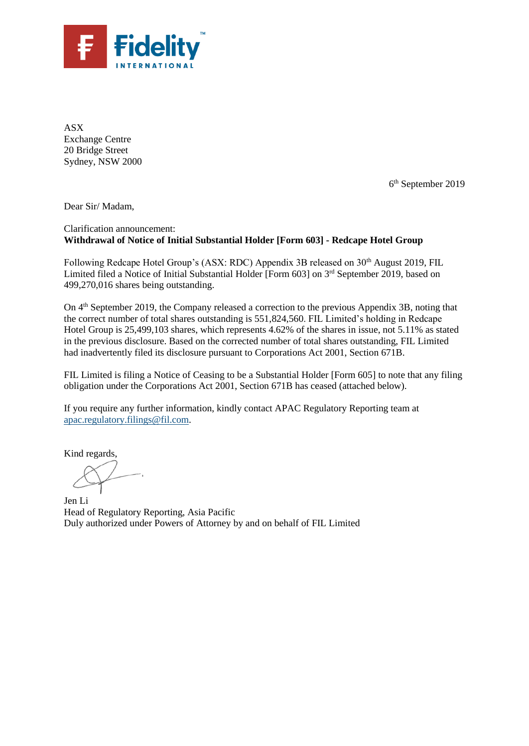

ASX Exchange Centre 20 Bridge Street Sydney, NSW 2000

6 th September 2019

Dear Sir/ Madam,

### Clarification announcement: **Withdrawal of Notice of Initial Substantial Holder [Form 603] - Redcape Hotel Group**

Following Redcape Hotel Group's (ASX: RDC) Appendix 3B released on 30<sup>th</sup> August 2019, FIL Limited filed a Notice of Initial Substantial Holder [Form 603] on 3<sup>rd</sup> September 2019, based on 499,270,016 shares being outstanding.

On  $4<sup>th</sup>$  September 2019, the Company released a correction to the previous Appendix 3B, noting that the correct number of total shares outstanding is 551,824,560. FIL Limited's holding in Redcape Hotel Group is 25,499,103 shares, which represents 4.62% of the shares in issue, not 5.11% as stated in the previous disclosure. Based on the corrected number of total shares outstanding, FIL Limited had inadvertently filed its disclosure pursuant to Corporations Act 2001, Section 671B.

FIL Limited is filing a Notice of Ceasing to be a Substantial Holder [Form 605] to note that any filing obligation under the Corporations Act 2001, Section 671B has ceased (attached below).

If you require any further information, kindly contact APAC Regulatory Reporting team at [apac.regulatory.filings@fil.com.](mailto:apac.regulatory.filings@fil.com)

Kind regards,

Jen Li Head of Regulatory Reporting, Asia Pacific Duly authorized under Powers of Attorney by and on behalf of FIL Limited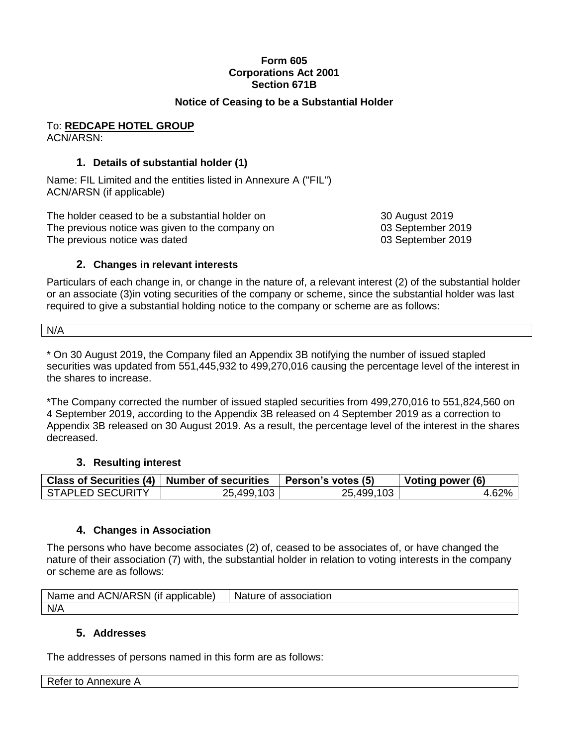# **Form 605 Corporations Act 2001 Section 671B**

# **Notice of Ceasing to be a Substantial Holder**

To: **REDCAPE HOTEL GROUP** ACN/ARSN:

# **1. Details of substantial holder (1)**

Name: FIL Limited and the entities listed in Annexure A ("FIL") ACN/ARSN (if applicable)

The holder ceased to be a substantial holder on 30 August 2019 The previous notice was given to the company on 03 September 2019 The previous notice was dated **03 September 2019** 

### **2. Changes in relevant interests**

Particulars of each change in, or change in the nature of, a relevant interest (2) of the substantial holder or an associate (3)in voting securities of the company or scheme, since the substantial holder was last required to give a substantial holding notice to the company or scheme are as follows:

N/A

\* On 30 August 2019, the Company filed an Appendix 3B notifying the number of issued stapled securities was updated from 551,445,932 to 499,270,016 causing the percentage level of the interest in the shares to increase.

\*The Company corrected the number of issued stapled securities from 499,270,016 to 551,824,560 on 4 September 2019, according to the Appendix 3B released on 4 September 2019 as a correction to Appendix 3B released on 30 August 2019. As a result, the percentage level of the interest in the shares decreased.

### **3. Resulting interest**

|                         | Class of Securities (4)   Number of securities   Person's votes (5) |            | Voting power (6) |
|-------------------------|---------------------------------------------------------------------|------------|------------------|
| <b>STAPLED SECURITY</b> | 25,499,103                                                          | 25,499,103 | 4.62%丨           |

### **4. Changes in Association**

The persons who have become associates (2) of, ceased to be associates of, or have changed the nature of their association (7) with, the substantial holder in relation to voting interests in the company or scheme are as follows:

| $\cdots$<br><b>ACN/ARSN</b><br>Name<br>applicable)<br>and<br>(It | <b>Nature</b><br>association<br>Οt |
|------------------------------------------------------------------|------------------------------------|
| N/A                                                              |                                    |

# **5. Addresses**

The addresses of persons named in this form are as follows: